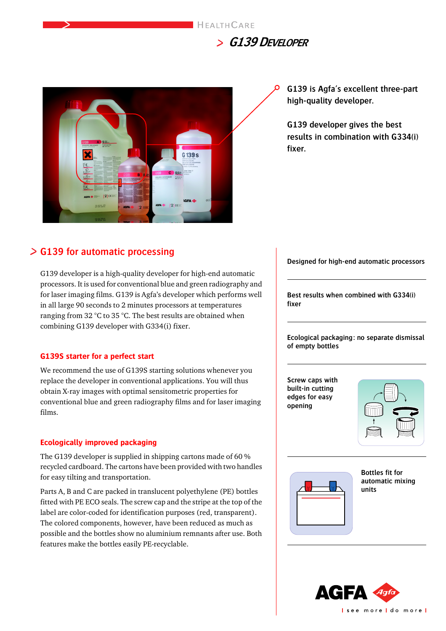



# **G139 is Agfa's excellent three-part high-quality developer.**

**G139 developer gives the best results in combination with G334(i) fixer.**

# **G139 for automatic processing**

G139 developer is a high-quality developer for high-end automatic processors. It is used for conventional blue and green radiography and for laser imaging films. G139 is Agfa's developer which performs well in all large 90 seconds to 2 minutes processors at temperatures ranging from 32 °C to 35 °C. The best results are obtained when combining G139 developer with G334(i) fixer.

## **G139S starter for a perfect start**

We recommend the use of G139S starting solutions whenever you replace the developer in conventional applications. You will thus obtain X-ray images with optimal sensitometric properties for conventional blue and green radiography films and for laser imaging films.

## **Ecologically improved packaging**

The G139 developer is supplied in shipping cartons made of 60 % recycled cardboard. The cartons have been provided with two handles for easy tilting and transportation.

Parts A, B and C are packed in translucent polyethylene (PE) bottles fitted with PE ECO seals. The screw cap and the stripe at the top of the label are color-coded for identification purposes (red, transparent). The colored components, however, have been reduced as much as possible and the bottles show no aluminium remnants after use. Both features make the bottles easily PE-recyclable.

**Designed for high-end automatic processors**

**Best results when combined with G334(i) fixer**

**Ecological packaging: no separate dismissal of empty bottles**

**Screw caps with built-in cutting edges for easy opening**





**Bottles fit for automatic mixing units**